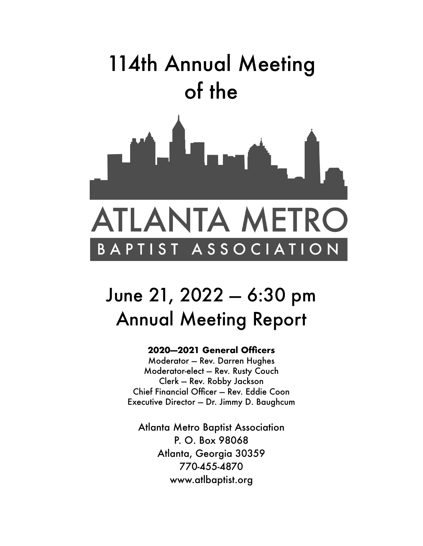

# June 21, 2022 — 6:30 pm Annual Meeting Report

### **2020—2021 General Officers**

Moderator — Rev. Darren Hughes Moderator-elect — Rev. Rusty Couch Clerk — Rev. Robby Jackson Chief Financial Officer — Rev. Eddie Coon Executive Director — Dr. Jimmy D. Baughcum

Atlanta Metro Baptist Association P. O. Box 98068 Atlanta, Georgia 30359 770-455-4870 www.atlbaptist.org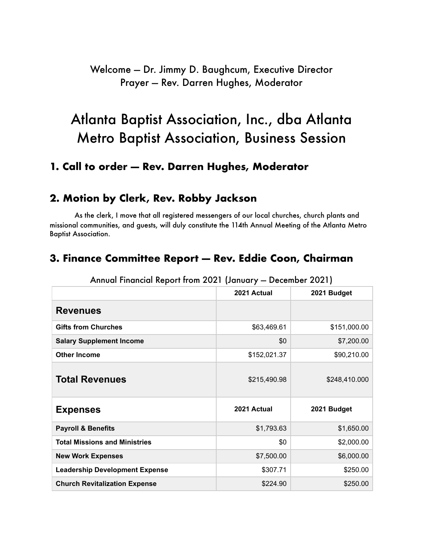## Welcome — Dr. Jimmy D. Baughcum, Executive Director Prayer — Rev. Darren Hughes, Moderator

## Atlanta Baptist Association, Inc., dba Atlanta Metro Baptist Association, Business Session

## **1. Call to order — Rev. Darren Hughes, Moderator**

## **2. Motion by Clerk, Rev. Robby Jackson**

As the clerk, I move that all registered messengers of our local churches, church plants and missional communities, and guests, will duly constitute the 114th Annual Meeting of the Atlanta Metro Baptist Association.

## **3. Finance Committee Report — Rev. Eddie Coon, Chairman**

|                                       | 2021 Actual  | 2021 Budget   |
|---------------------------------------|--------------|---------------|
| <b>Revenues</b>                       |              |               |
| <b>Gifts from Churches</b>            | \$63,469.61  | \$151,000.00  |
| <b>Salary Supplement Income</b>       | \$0          | \$7,200.00    |
| <b>Other Income</b>                   | \$152,021.37 | \$90,210.00   |
| <b>Total Revenues</b>                 | \$215,490.98 | \$248,410.000 |
| <b>Expenses</b>                       | 2021 Actual  | 2021 Budget   |
| <b>Payroll &amp; Benefits</b>         | \$1,793.63   | \$1,650.00    |
| <b>Total Missions and Ministries</b>  | \$0          | \$2,000.00    |
| <b>New Work Expenses</b>              | \$7,500.00   | \$6,000.00    |
| <b>Leadership Development Expense</b> | \$307.71     | \$250.00      |
| <b>Church Revitalization Expense</b>  | \$224.90     | \$250.00      |

#### Annual Financial Report from 2021 (January — December 2021)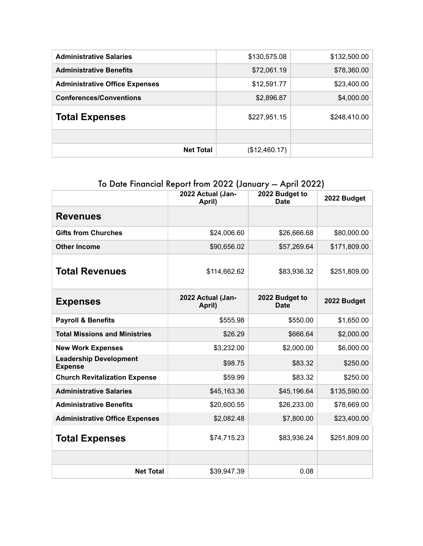| <b>Administrative Salaries</b>        | \$130,575.08  | \$132,500.00 |
|---------------------------------------|---------------|--------------|
| <b>Administrative Benefits</b>        | \$72,061.19   | \$78,360.00  |
| <b>Administrative Office Expenses</b> | \$12,591.77   | \$23,400.00  |
| <b>Conferences/Conventions</b>        | \$2,896.87    | \$4,000.00   |
| <b>Total Expenses</b>                 | \$227,951.15  | \$248,410.00 |
|                                       |               |              |
| <b>Net Total</b>                      | (\$12,460.17) |              |

## To Date Financial Report from 2022 (January — April 2022)

|                                                 | 2022 Actual (Jan-<br>April) | 2022 Budget to<br><b>Date</b> | 2022 Budget  |
|-------------------------------------------------|-----------------------------|-------------------------------|--------------|
| <b>Revenues</b>                                 |                             |                               |              |
| <b>Gifts from Churches</b>                      | \$24,006.60                 | \$26,666.68                   | \$80,000.00  |
| <b>Other Income</b>                             | \$90,656.02                 | \$57,269.64                   | \$171,809.00 |
| <b>Total Revenues</b>                           | \$114,662.62                | \$83,936.32                   | \$251,809.00 |
| <b>Expenses</b>                                 | 2022 Actual (Jan-<br>April) | 2022 Budget to<br><b>Date</b> | 2022 Budget  |
| <b>Payroll &amp; Benefits</b>                   | \$555.98                    | \$550.00                      | \$1,650.00   |
| <b>Total Missions and Ministries</b>            | \$26.29                     | \$666.64                      | \$2,000.00   |
| <b>New Work Expenses</b>                        | \$3,232.00                  | \$2,000.00                    | \$6,000.00   |
| <b>Leadership Development</b><br><b>Expense</b> | \$98.75                     | \$83.32                       | \$250.00     |
| <b>Church Revitalization Expense</b>            | \$59.99                     | \$83.32                       | \$250.00     |
| <b>Administrative Salaries</b>                  | \$45,163.36                 | \$45,196.64                   | \$135,590.00 |
| <b>Administrative Benefits</b>                  | \$20,600.55                 | \$26,233.00                   | \$78,669.00  |
| <b>Administrative Office Expenses</b>           | \$2,082.48                  | \$7,800.00                    | \$23,400.00  |
| <b>Total Expenses</b>                           | \$74,715.23                 | \$83,936.24                   | \$251,809.00 |
|                                                 |                             |                               |              |
| <b>Net Total</b>                                | \$39,947.39                 | 0.08                          |              |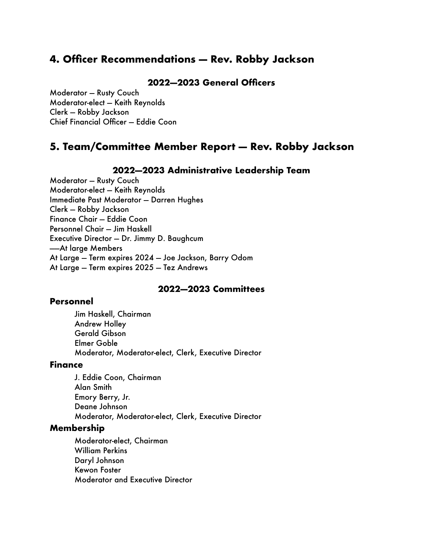## **4. Officer Recommendations — Rev. Robby Jackson**

#### **2022—2023 General Officers**

Moderator — Rusty Couch Moderator-elect — Keith Reynolds Clerk — Robby Jackson Chief Financial Officer — Eddie Coon

## **5. Team/Committee Member Report — Rev. Robby Jackson**

#### **2022—2023 Administrative Leadership Team**

Moderator — Rusty Couch Moderator-elect — Keith Reynolds Immediate Past Moderator — Darren Hughes Clerk — Robby Jackson Finance Chair — Eddie Coon Personnel Chair — Jim Haskell Executive Director — Dr. Jimmy D. Baughcum ——At large Members At Large — Term expires 2024 — Joe Jackson, Barry Odom At Large — Term expires 2025 — Tez Andrews

#### **2022—2023 Committees**

#### **Personnel**

Jim Haskell, Chairman Andrew Holley Gerald Gibson Elmer Goble Moderator, Moderator-elect, Clerk, Executive Director

#### **Finance**

J. Eddie Coon, Chairman Alan Smith Emory Berry, Jr. Deane Johnson Moderator, Moderator-elect, Clerk, Executive Director

#### **Membership**

Moderator-elect, Chairman William Perkins Daryl Johnson Kewon Foster Moderator and Executive Director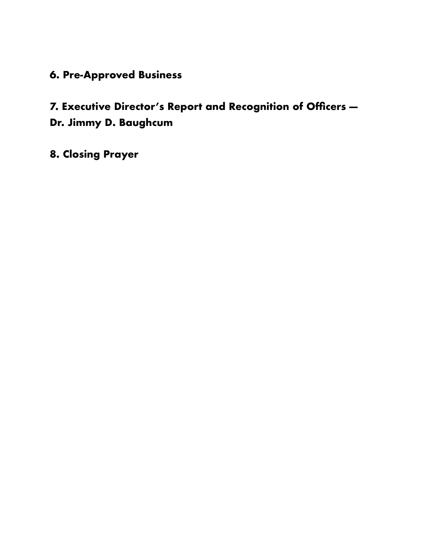## **6. Pre-Approved Business**

## **7. Executive Director's Report and Recognition of Officers — Dr. Jimmy D. Baughcum**

**8. Closing Prayer**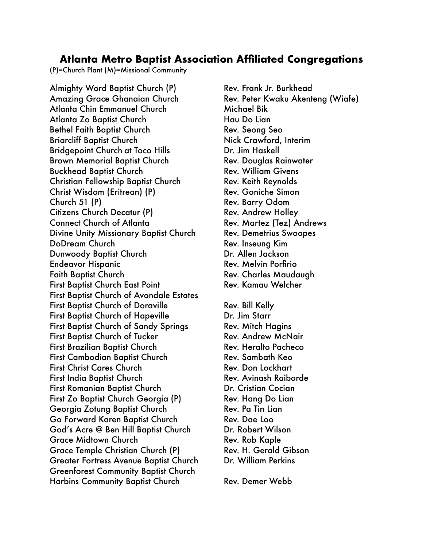### **Atlanta Metro Baptist Association Affiliated Congregations**

(P)=Church Plant (M)=Missional Community

Almighty Word Baptist Church (P) Rev. Frank Jr. Burkhead Amazing Grace Ghanaian Church **Rev. Peter Kwaku Akenteng (Wiafe)** Atlanta Chin Emmanuel Church Michael Bik Atlanta Zo Baptist Church **Hau Do Lian** Bethel Faith Baptist Church Rev. Seong Seo Briarcliff Baptist Church Nick Crawford, Interim Bridgepoint Church at Toco Hills **Bridgepoint Church at Toco Hills** Dr. Jim Haskell Brown Memorial Baptist Church **Rev. Douglas Rainwater** Buckhead Baptist Church **Rev. William Givens** Christian Fellowship Baptist Church Rev. Keith Reynolds Christ Wisdom (Eritrean) (P) Rev. Goniche Simon Church 51 (P) **Rev. Barry Odom** Citizens Church Decatur (P) Rev. Andrew Holley Connect Church of Atlanta Rev. Martez (Tez) Andrews Divine Unity Missionary Baptist Church Rev. Demetrius Swoopes DoDream Church **Brandfilm** Rev. Inseung Kim Dunwoody Baptist Church **Dr. Allen Jackson** Endeavor Hispanic **Endeavor Hispanic Rev. Melvin Porfirio** Faith Baptist Church Rev. Charles Maudaugh First Baptist Church East Point **Rev. Kamau Welcher** First Baptist Church of Avondale Estates First Baptist Church of Doraville **Rev. Bill Kelly** First Baptist Church of Hapeville **Dr. Jim Starr** First Baptist Church of Sandy Springs Rev. Mitch Hagins First Baptist Church of Tucker **Rev. Andrew McNair** First Brazilian Baptist Church **Rev. Heralto Pacheco** First Cambodian Baptist Church **Rev. Sambath Keo** First Christ Cares Church **Rev. Don Lockhart** First India Baptist Church **Rev. Avinash Raiborde** First Romanian Baptist Church **Dr. Cristian Cocian** First Zo Baptist Church Georgia (P) Rev. Hang Do Lian Georgia Zotung Baptist Church Rev. Pa Tin Lian Go Forward Karen Baptist Church Rev. Dae Loo God's Acre @ Ben Hill Baptist Church Dr. Robert Wilson Grace Midtown Church **Brace Contract Contract Contract Contract Contract Contract Contract Contract Contract Contract Contract Contract Contract Contract Contract Contract Contract Contract Contract Contract Contract Contr** Grace Temple Christian Church (P) Rev. H. Gerald Gibson Greater Fortress Avenue Baptist Church Dr. William Perkins Greenforest Community Baptist Church Harbins Community Baptist Church Rev. Demer Webb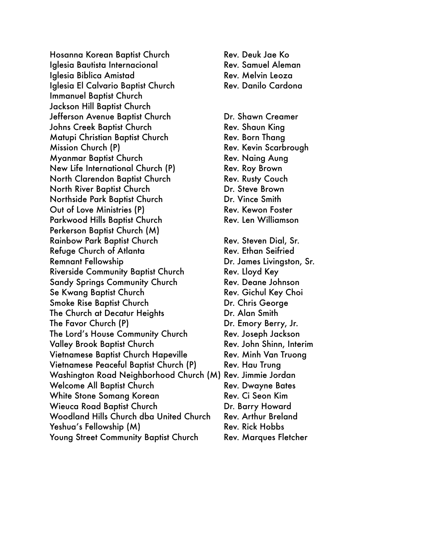Hosanna Korean Baptist Church **Rev. Deuk Jae Ko** Iglesia Bautista Internacional **Rev. Samuel Aleman** Iglesia Biblica Amistad **Biblica Amistad** Rev. Melvin Leoza Iglesia El Calvario Baptist Church Rev. Danilo Cardona Immanuel Baptist Church Jackson Hill Baptist Church Jefferson Avenue Baptist Church **Dr. Shawn Creamer** Johns Creek Baptist Church Rev. Shaun King Matupi Christian Baptist Church **Rev. Born Thang** Mission Church (P) and the Church Control Rev. Kevin Scarbrough Myanmar Baptist Church Rev. Naing Aung New Life International Church (P) Rev. Roy Brown North Clarendon Baptist Church **Rev. Rusty Couch** North River Baptist Church **Dr. Steve Brown** Northside Park Baptist Church **Dr. Vince Smith** Out of Love Ministries (P) Business Rev. Kewon Foster Parkwood Hills Baptist Church Rev. Len Williamson Perkerson Baptist Church (M) Rainbow Park Baptist Church **Rev. Steven Dial, Sr.** Cases Refuge Church of Atlanta Rev. Ethan Seifried Remnant Fellowship **Example 20** Dr. James Livingston, Sr. Riverside Community Baptist Church Rev. Lloyd Key Sandy Springs Community Church Rev. Deane Johnson Se Kwang Baptist Church **Rev. Gichul Key Choi** Smoke Rise Baptist Church **Dr. Chris George** The Church at Decatur Heights **Dr. Alan Smith** The Favor Church (P) Books Changes Changes Changes Changes Dr. Emory Berry, Jr. The Lord's House Community Church Rev. Joseph Jackson Valley Brook Baptist Church **Rev. John Shinn, Interim** Vietnamese Baptist Church Hapeville **Rev. Minh Van Truong** Vietnamese Peaceful Baptist Church (P) Rev. Hau Trung Washington Road Neighborhood Church (M) Rev. Jimmie Jordan Welcome All Baptist Church Rev. Dwayne Bates White Stone Somang Korean **Rev. Ci Seon Kim** Wieuca Road Baptist Church **Dr. Barry Howard** Woodland Hills Church dba United Church Rev. Arthur Breland Yeshua's Fellowship (M) Bev. Rick Hobbs Young Street Community Baptist Church Rev. Marques Fletcher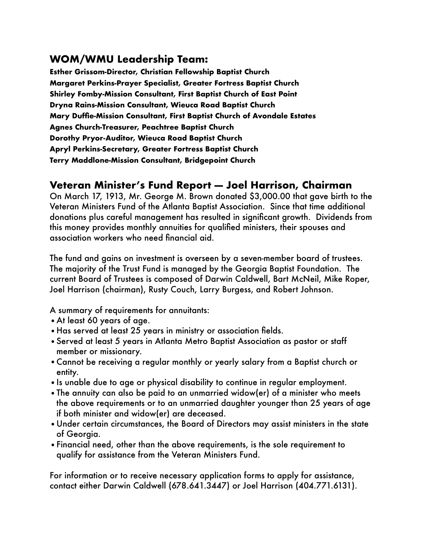## **WOM/WMU Leadership Team:**

**Esther Grissom-Director, Christian Fellowship Baptist Church Margaret Perkins-Prayer Specialist, Greater Fortress Baptist Church Shirley Fomby-Mission Consultant, First Baptist Church of East Point Dryna Rains-Mission Consultant, Wieuca Road Baptist Church Mary Duffie-Mission Consultant, First Baptist Church of Avondale Estates Agnes Church-Treasurer, Peachtree Baptist Church Dorothy Pryor-Auditor, Wieuca Road Baptist Church Apryl Perkins-Secretary, Greater Fortress Baptist Church Terry Maddlone-Mission Consultant, Bridgepoint Church**

## **Veteran Minister's Fund Report — Joel Harrison, Chairman**

On March 17, 1913, Mr. George M. Brown donated \$3,000.00 that gave birth to the Veteran Ministers Fund of the Atlanta Baptist Association. Since that time additional donations plus careful management has resulted in significant growth. Dividends from this money provides monthly annuities for qualified ministers, their spouses and association workers who need financial aid.

The fund and gains on investment is overseen by a seven-member board of trustees. The majority of the Trust Fund is managed by the Georgia Baptist Foundation. The current Board of Trustees is composed of Darwin Caldwell, Bart McNeil, Mike Roper, Joel Harrison (chairman), Rusty Couch, Larry Burgess, and Robert Johnson.

A summary of requirements for annuitants:

- •At least 60 years of age.
- •Has served at least 25 years in ministry or association fields.
- •Served at least 5 years in Atlanta Metro Baptist Association as pastor or staff member or missionary.
- •Cannot be receiving a regular monthly or yearly salary from a Baptist church or entity.
- •Is unable due to age or physical disability to continue in regular employment.
- •The annuity can also be paid to an unmarried widow(er) of a minister who meets the above requirements or to an unmarried daughter younger than 25 years of age if both minister and widow(er) are deceased.
- •Under certain circumstances, the Board of Directors may assist ministers in the state of Georgia.
- •Financial need, other than the above requirements, is the sole requirement to qualify for assistance from the Veteran Ministers Fund.

For information or to receive necessary application forms to apply for assistance, contact either Darwin Caldwell (678.641.3447) or Joel Harrison (404.771.6131).